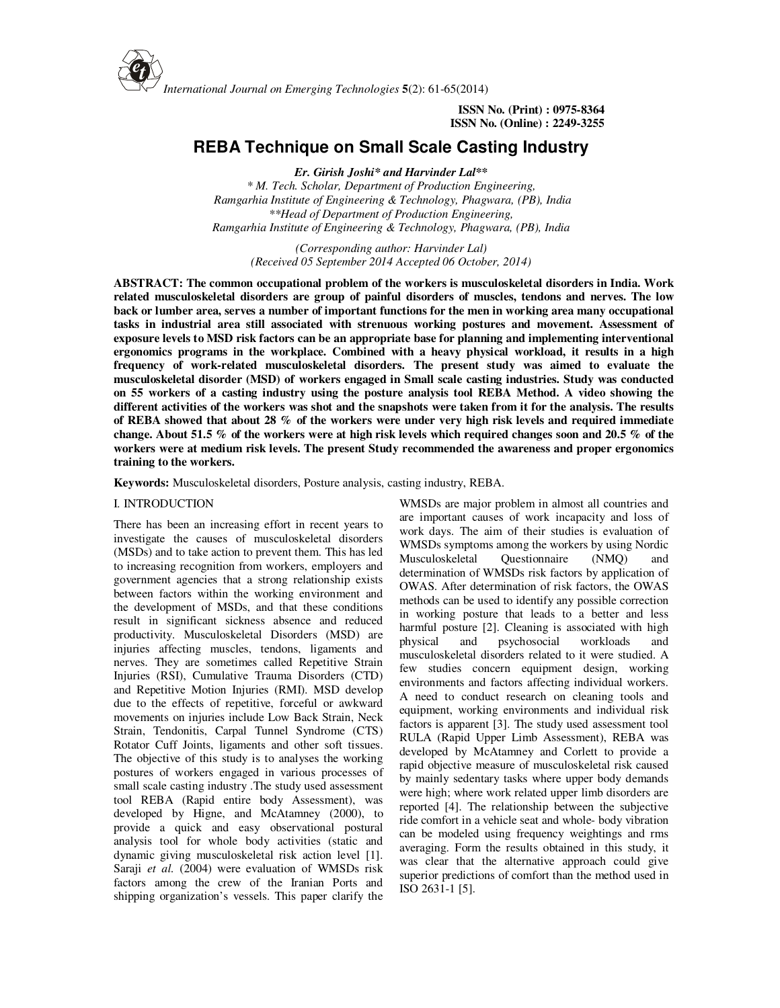

 **ISSN No. (Print) : 0975-8364 ISSN No. (Online) : 2249-3255** 

# **REBA Technique on Small Scale Casting Industry**

*Er. Girish Joshi\* and Harvinder Lal\*\* \* M. Tech. Scholar, Department of Production Engineering, Ramgarhia Institute of Engineering & Technology, Phagwara, (PB), India \*\*Head of Department of Production Engineering, Ramgarhia Institute of Engineering & Technology, Phagwara, (PB), India* 

> *(Corresponding author: Harvinder Lal) (Received 05 September 2014 Accepted 06 October, 2014)*

**ABSTRACT: The common occupational problem of the workers is musculoskeletal disorders in India. Work related musculoskeletal disorders are group of painful disorders of muscles, tendons and nerves. The low back or lumber area, serves a number of important functions for the men in working area many occupational tasks in industrial area still associated with strenuous working postures and movement. Assessment of exposure levels to MSD risk factors can be an appropriate base for planning and implementing interventional ergonomics programs in the workplace. Combined with a heavy physical workload, it results in a high frequency of work-related musculoskeletal disorders. The present study was aimed to evaluate the musculoskeletal disorder (MSD) of workers engaged in Small scale casting industries. Study was conducted on 55 workers of a casting industry using the posture analysis tool REBA Method. A video showing the different activities of the workers was shot and the snapshots were taken from it for the analysis. The results of REBA showed that about 28 % of the workers were under very high risk levels and required immediate change. About 51.5 % of the workers were at high risk levels which required changes soon and 20.5 % of the workers were at medium risk levels. The present Study recommended the awareness and proper ergonomics training to the workers.** 

**Keywords:** Musculoskeletal disorders, Posture analysis, casting industry, REBA.

### I. INTRODUCTION

There has been an increasing effort in recent years to investigate the causes of musculoskeletal disorders (MSDs) and to take action to prevent them. This has led to increasing recognition from workers, employers and government agencies that a strong relationship exists between factors within the working environment and the development of MSDs, and that these conditions result in significant sickness absence and reduced productivity. Musculoskeletal Disorders (MSD) are injuries affecting muscles, tendons, ligaments and nerves. They are sometimes called Repetitive Strain Injuries (RSI), Cumulative Trauma Disorders (CTD) and Repetitive Motion Injuries (RMI). MSD develop due to the effects of repetitive, forceful or awkward movements on injuries include Low Back Strain, Neck Strain, Tendonitis, Carpal Tunnel Syndrome (CTS) Rotator Cuff Joints, ligaments and other soft tissues. The objective of this study is to analyses the working postures of workers engaged in various processes of small scale casting industry .The study used assessment tool REBA (Rapid entire body Assessment), was developed by Higne, and McAtamney (2000), to provide a quick and easy observational postural analysis tool for whole body activities (static and dynamic giving musculoskeletal risk action level [1]. Saraji et al. (2004) were evaluation of WMSDs risk factors among the crew of the Iranian Ports and shipping organization's vessels. This paper clarify the

WMSDs are major problem in almost all countries and are important causes of work incapacity and loss of work days. The aim of their studies is evaluation of WMSDs symptoms among the workers by using Nordic<br>Musculoskeletal Ouestionnaire (NMO) and Musculoskeletal Questionnaire (NMQ) and determination of WMSDs risk factors by application of OWAS. After determination of risk factors, the OWAS methods can be used to identify any possible correction in working posture that leads to a better and less harmful posture [2]. Cleaning is associated with high physical and psychosocial workloads and musculoskeletal disorders related to it were studied. A few studies concern equipment design, working environments and factors affecting individual workers. A need to conduct research on cleaning tools and equipment, working environments and individual risk factors is apparent [3]. The study used assessment tool RULA (Rapid Upper Limb Assessment), REBA was developed by McAtamney and Corlett to provide a rapid objective measure of musculoskeletal risk caused by mainly sedentary tasks where upper body demands were high; where work related upper limb disorders are reported [4]. The relationship between the subjective ride comfort in a vehicle seat and whole- body vibration can be modeled using frequency weightings and rms averaging. Form the results obtained in this study, it was clear that the alternative approach could give superior predictions of comfort than the method used in ISO 2631-1 [5].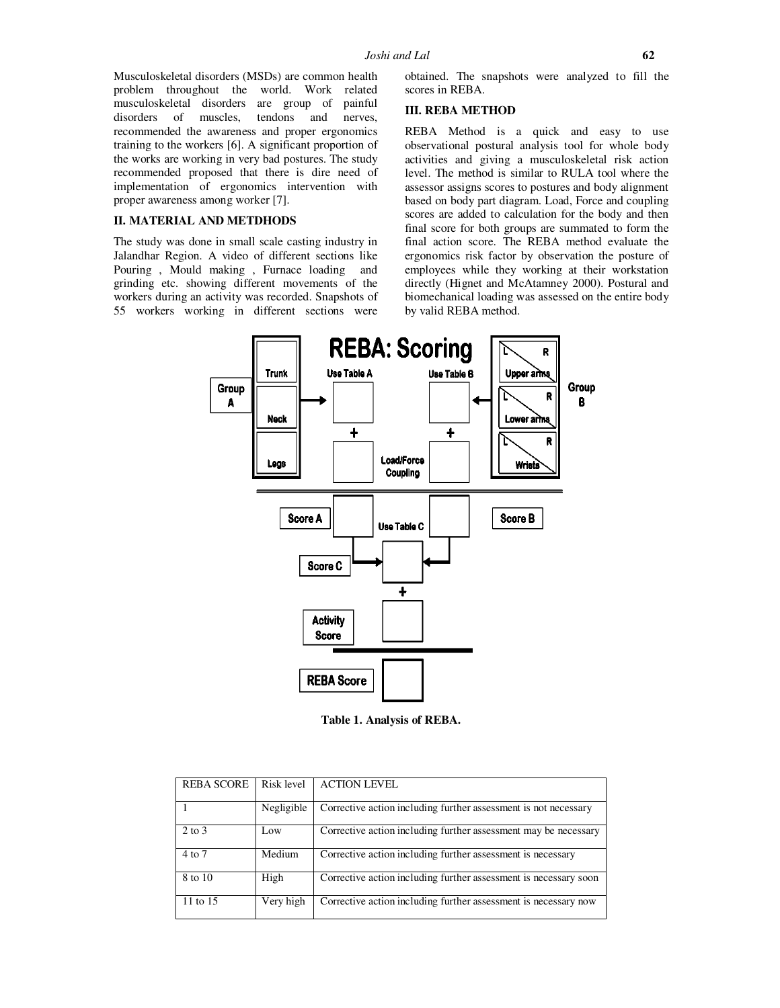Musculoskeletal disorders (MSDs) are common health problem throughout the world. Work related musculoskeletal disorders are group of painful disorders of muscles, tendons and nerves, recommended the awareness and proper ergonomics training to the workers [6]. A significant proportion of the works are working in very bad postures. The study recommended proposed that there is dire need of implementation of ergonomics intervention with proper awareness among worker [7].

## **II. MATERIAL AND METDHODS**

The study was done in small scale casting industry in Jalandhar Region. A video of different sections like Pouring , Mould making , Furnace loading and grinding etc. showing different movements of the workers during an activity was recorded. Snapshots of 55 workers working in different sections were

obtained. The snapshots were analyzed to fill the scores in REBA.

## **III. REBA METHOD**

REBA Method is a quick and easy to use observational postural analysis tool for whole body activities and giving a musculoskeletal risk action level. The method is similar to RULA tool where the assessor assigns scores to postures and body alignment based on body part diagram. Load, Force and coupling scores are added to calculation for the body and then final score for both groups are summated to form the final action score. The REBA method evaluate the ergonomics risk factor by observation the posture of employees while they working at their workstation directly (Hignet and McAtamney 2000). Postural and biomechanical loading was assessed on the entire body by valid REBA method.



**Table 1. Analysis of REBA.** 

| <b>REBA SCORE</b> | Risk level | <b>ACTION LEVEL</b>                                              |
|-------------------|------------|------------------------------------------------------------------|
|                   | Negligible | Corrective action including further assessment is not necessary  |
| 2 to 3            | Low        | Corrective action including further assessment may be necessary  |
| 4 to 7            | Medium     | Corrective action including further assessment is necessary      |
| 8 to 10           | High       | Corrective action including further assessment is necessary soon |
| 11 to 15          | Very high  | Corrective action including further assessment is necessary now  |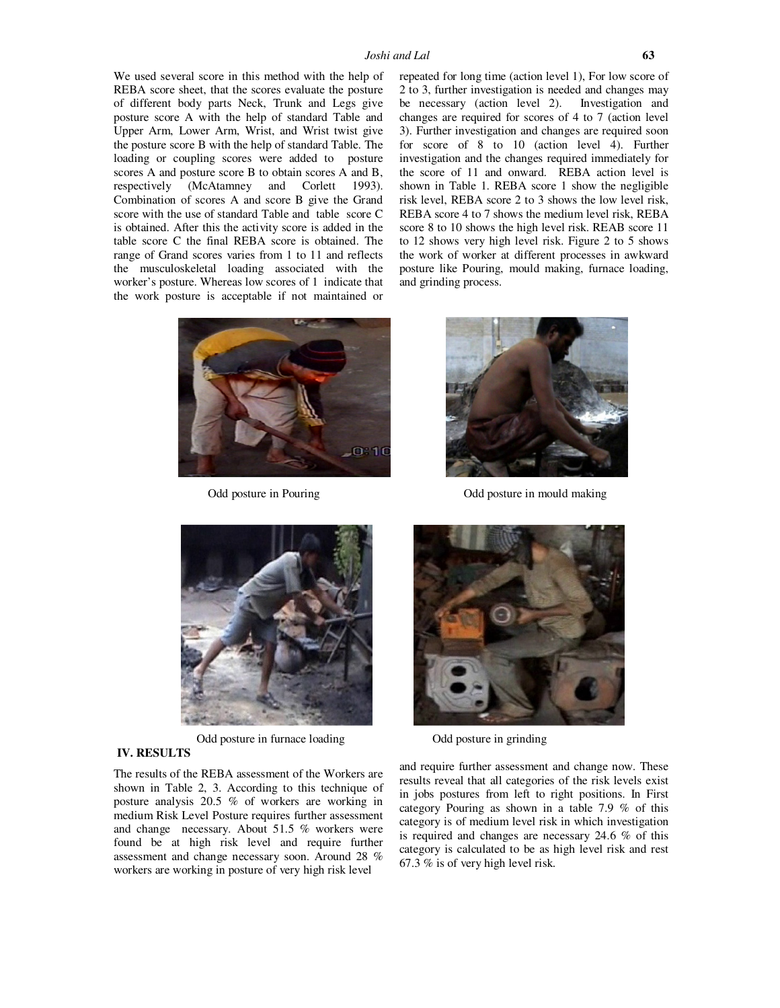We used several score in this method with the help of REBA score sheet, that the scores evaluate the posture of different body parts Neck, Trunk and Legs give posture score A with the help of standard Table and Upper Arm, Lower Arm, Wrist, and Wrist twist give the posture score B with the help of standard Table. The loading or coupling scores were added to posture scores A and posture score B to obtain scores A and B, respectively (McAtamney and Corlett 1993). Combination of scores A and score B give the Grand score with the use of standard Table and table score C is obtained. After this the activity score is added in the table score C the final REBA score is obtained. The range of Grand scores varies from 1 to 11 and reflects the musculoskeletal loading associated with the worker's posture. Whereas low scores of 1 indicate that the work posture is acceptable if not maintained or repeated for long time (action level 1), For low score of 2 to 3, further investigation is needed and changes may be necessary (action level 2). Investigation and changes are required for scores of 4 to 7 (action level 3). Further investigation and changes are required soon for score of 8 to 10 (action level 4). Further investigation and the changes required immediately for the score of 11 and onward. REBA action level is shown in Table 1. REBA score 1 show the negligible risk level, REBA score 2 to 3 shows the low level risk, REBA score 4 to 7 shows the medium level risk, REBA score 8 to 10 shows the high level risk. REAB score 11 to 12 shows very high level risk. Figure 2 to 5 shows the work of worker at different processes in awkward posture like Pouring, mould making, furnace loading, and grinding process.





Odd posture in Pouring Odd posture in mould making



Odd posture in furnace loading Odd posture in grinding



## **IV. RESULTS**

The results of the REBA assessment of the Workers are shown in Table 2, 3. According to this technique of posture analysis 20.5 % of workers are working in medium Risk Level Posture requires further assessment and change necessary. About 51.5 % workers were found be at high risk level and require further assessment and change necessary soon. Around 28 % workers are working in posture of very high risk level

and require further assessment and change now. These results reveal that all categories of the risk levels exist in jobs postures from left to right positions. In First category Pouring as shown in a table 7.9 % of this category is of medium level risk in which investigation is required and changes are necessary 24.6 % of this category is calculated to be as high level risk and rest 67.3 % is of very high level risk.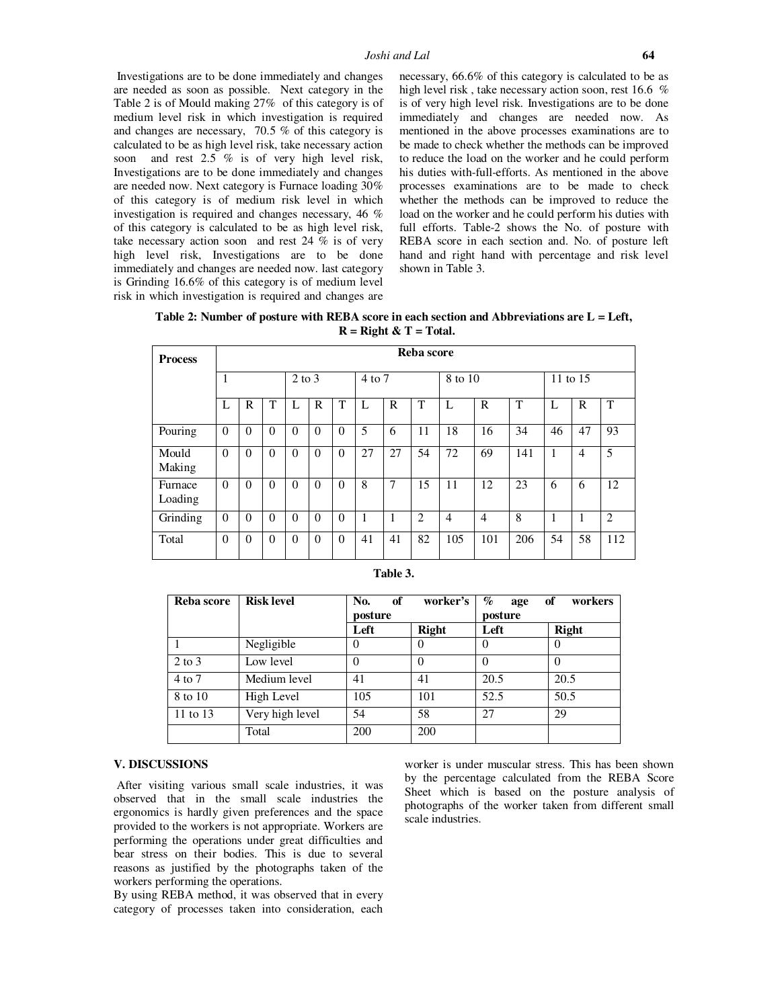Investigations are to be done immediately and changes are needed as soon as possible. Next category in the Table 2 is of Mould making 27% of this category is of medium level risk in which investigation is required and changes are necessary, 70.5 % of this category is calculated to be as high level risk, take necessary action soon and rest 2.5 % is of very high level risk, Investigations are to be done immediately and changes are needed now. Next category is Furnace loading 30% of this category is of medium risk level in which investigation is required and changes necessary, 46 % of this category is calculated to be as high level risk, take necessary action soon and rest  $24\%$  is of very high level risk, Investigations are to be done immediately and changes are needed now. last category is Grinding 16.6% of this category is of medium level risk in which investigation is required and changes are necessary, 66.6% of this category is calculated to be as high level risk, take necessary action soon, rest 16.6 % is of very high level risk. Investigations are to be done immediately and changes are needed now. As mentioned in the above processes examinations are to be made to check whether the methods can be improved to reduce the load on the worker and he could perform his duties with-full-efforts. As mentioned in the above processes examinations are to be made to check whether the methods can be improved to reduce the load on the worker and he could perform his duties with full efforts. Table-2 shows the No. of posture with REBA score in each section and. No. of posture left hand and right hand with percentage and risk level shown in Table 3.

| Table 2: Number of posture with REBA score in each section and Abbreviations are $L = Left$ , |                          |  |  |
|-----------------------------------------------------------------------------------------------|--------------------------|--|--|
|                                                                                               | $R =$ Right & T = Total. |  |  |

| <b>Process</b>     | Reba score |          |          |                |          |            |    |         |                |     |                |     |    |                |     |
|--------------------|------------|----------|----------|----------------|----------|------------|----|---------|----------------|-----|----------------|-----|----|----------------|-----|
|                    |            |          |          | $2$ to $3$     |          | $4$ to $7$ |    | 8 to 10 |                |     | 11 to 15       |     |    |                |     |
|                    | L          | R        | T        | L              | R        | T          | L  | R       | T              | L   | R              | T   | L  | $\mathbf R$    | T   |
| Pouring            | $\Omega$   | $\theta$ | $\theta$ | $\theta$       | $\Omega$ | $\Omega$   | 5  | 6       | 11             | 18  | 16             | 34  | 46 | 47             | 93  |
| Mould<br>Making    | $\Omega$   | $\theta$ | $\theta$ | $\mathbf{0}$   | $\Omega$ | $\Omega$   | 27 | 27      | 54             | 72  | 69             | 141 | 1  | $\overline{4}$ | 5   |
| Furnace<br>Loading | $\Omega$   | $\theta$ | $\theta$ | $\overline{0}$ | $\Omega$ | $\Omega$   | 8  | 7       | 15             | 11  | 12             | 23  | 6  | 6              | 12  |
| Grinding           | $\theta$   | $\theta$ | $\theta$ | $\theta$       | $\Omega$ | $\Omega$   |    | 1       | $\overline{2}$ | 4   | $\overline{4}$ | 8   | 1  |                | 2   |
| Total              | $\theta$   | $\theta$ | $\Omega$ | $\theta$       | $\Omega$ | $\Omega$   | 41 | 41      | 82             | 105 | 101            | 206 | 54 | 58             | 112 |

| Table . |
|---------|
|---------|

| Reba score | <b>Risk level</b> | No.<br>of<br>posture | worker's     | $\%$<br>of<br>workers<br>age<br>posture |          |  |
|------------|-------------------|----------------------|--------------|-----------------------------------------|----------|--|
|            |                   | Left                 | <b>Right</b> | Left                                    | Right    |  |
|            | Negligible        |                      |              | $\theta$                                | $\theta$ |  |
| $2$ to $3$ | Low level         |                      | $\theta$     | $\Omega$                                | $\theta$ |  |
| 4 to 7     | Medium level      | 41                   | 41           | 20.5                                    | 20.5     |  |
| 8 to 10    | High Level        | 105                  | 101          | 52.5                                    | 50.5     |  |
| 11 to 13   | Very high level   | 54                   | 58           | 27                                      | 29       |  |
|            | Total             | 200                  | 200          |                                         |          |  |

#### **V. DISCUSSIONS**

 After visiting various small scale industries, it was observed that in the small scale industries the ergonomics is hardly given preferences and the space provided to the workers is not appropriate. Workers are performing the operations under great difficulties and bear stress on their bodies. This is due to several reasons as justified by the photographs taken of the workers performing the operations.

By using REBA method, it was observed that in every category of processes taken into consideration, each

worker is under muscular stress. This has been shown by the percentage calculated from the REBA Score Sheet which is based on the posture analysis of photographs of the worker taken from different small scale industries.